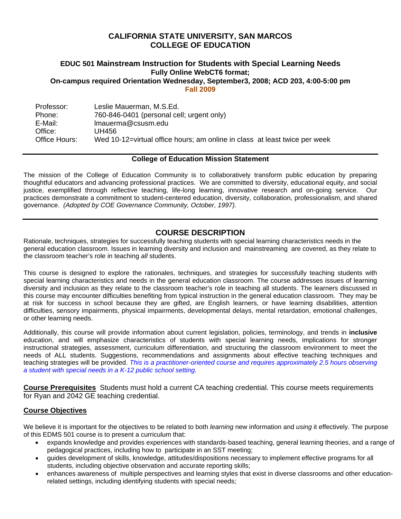# **CALIFORNIA STATE UNIVERSITY, SAN MARCOS COLLEGE OF EDUCATION**

#### **EDUC 501 Mainstream Instruction for Students with Special Learning Needs Fully Online WebCT6 format; On-campus required Orientation Wednesday, September3, 2008; ACD 203, 4:00-5:00 pm Fall 2009**

Professor: Phone: E-Mail: Office: Office Hours: Leslie Mauerman, M.S.Ed. 760-846-0401 (personal cell; urgent only) lmauerma@csusm.edu UH456 Wed 10-12=virtual office hours; am online in class at least twice per week

## **College of Education Mission Statement**

The mission of the College of Education Community is to collaboratively transform public education by preparing thoughtful educators and advancing professional practices. We are committed to diversity, educational equity, and social justice, exemplified through reflective teaching, life-long learning, innovative research and on-going service. Our practices demonstrate a commitment to student-centered education, diversity, collaboration, professionalism, and shared governance. *(Adopted by COE Governance Community, October, 1997).* 

# **COURSE DESCRIPTION**

Rationale, techniques, strategies for successfully teaching students with special learning characteristics needs in the general education classroom. Issues in learning diversity and inclusion and mainstreaming are covered, as they relate to the classroom teacher's role in teaching *all* students.

This course is designed to explore the rationales, techniques, and strategies for successfully teaching students with special learning characteristics and needs in the general education classroom. The course addresses issues of learning diversity and inclusion as they relate to the classroom teacher's role in teaching all students. The learners discussed in this course may encounter difficulties benefiting from typical instruction in the general education classroom. They may be at risk for success in school because they are gifted, are English learners, or have learning disabilities, attention difficulties, sensory impairments, physical impairments, developmental delays, mental retardation, emotional challenges, or other learning needs.

 *a student with special needs in a K-12 public school setting.*  Additionally, this course will provide information about current legislation, policies, terminology, and trends in **inclusive**  education, and will emphasize characteristics of students with special learning needs, implications for stronger instructional strategies, assessment, curriculum differentiation, and structuring the classroom environment to meet the needs of ALL students. Suggestions, recommendations and assignments about effective teaching techniques and teaching strategies will be provided. *This is a practitioner-oriented course and requires approximately 2.5 hours observing* 

**Course Prerequisites** Students must hold a current CA teaching credential. This course meets requirements for Ryan and 2042 GE teaching credential.

## **Course Objectives**

We believe it is important for the objectives to be related to both *learning* new information and *using* it effectively. The purpose of this EDMS 501 course is to present a curriculum that:

- expands knowledge and provides experiences with standards-based teaching, general learning theories, and a range of pedagogical practices, including how to participate in an SST meeting;
- guides development of skills, knowledge, attitudes/dispositions necessary to implement effective programs for all students, including objective observation and accurate reporting skills;
- enhances awareness of multiple perspectives and learning styles that exist in diverse classrooms and other educationrelated settings, including identifying students with special needs;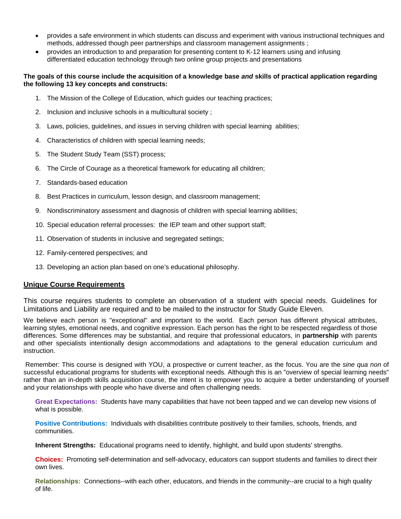- provides a safe environment in which students can discuss and experiment with various instructional techniques and methods, addressed though peer partnerships and classroom management assignments ;
- provides an introduction to and preparation for presenting content to K-12 learners using and infusing differentiated education technology through two online group projects and presentations

#### **The goals of this course include the acquisition of a knowledge base** *and* **skills of practical application regarding the following 13 key concepts and constructs:**

- 1. The Mission of the College of Education, which guides our teaching practices;
- 2. Inclusion and inclusive schools in a multicultural society ;
- 3. Laws, policies, guidelines, and issues in serving children with special learning abilities;
- 4. Characteristics of children with special learning needs;
- 5. The Student Study Team (SST) process;
- 6. The Circle of Courage as a theoretical framework for educating all children;
- 7. Standards-based education
- 8. Best Practices in curriculum, lesson design, and classroom management;
- 9. Nondiscriminatory assessment and diagnosis of children with special learning abilities;
- 10. Special education referral processes: the IEP team and other support staff;
- 11. Observation of students in inclusive and segregated settings;
- 12. Family-centered perspectives; and
- 13. Developing an action plan based on one's educational philosophy.

### **Unique Course Requirements**

This course requires students to complete an observation of a student with special needs. Guidelines for Limitations and Liability are required and to be mailed to the instructor for Study Guide Eleven.

instruction. We believe each person is "exceptional" and important to the world. Each person has different physical attributes, learning styles, emotional needs, and cognitive expression. Each person has the right to be respected regardless of those differences. Some differences may be substantial, and require that professional educators, in **partnership** with parents and other specialists intentionally design accommodations and adaptations to the general education curriculum and

Remember: This course is designed with YOU, a prospective or current teacher, as the focus. You are the *sine qua non* of successful educational programs for students with exceptional needs. Although this is an "overview of special learning needs" rather than an in-depth skills acquisition course, the intent is to empower you to acquire a better understanding of yourself and your relationships with people who have diverse and often challenging needs.

**Great Expectations:** Students have many capabilities that have not been tapped and we can develop new visions of what is possible.

**Positive Contributions:** Individuals with disabilities contribute positively to their families, schools, friends, and communities.

**Inherent Strengths:** Educational programs need to identify, highlight, and build upon students' strengths.

**Choices:** Promoting self-determination and self-advocacy, educators can support students and families to direct their own lives.

**Relationships:** Connections--with each other, educators, and friends in the community--are crucial to a high quality of life.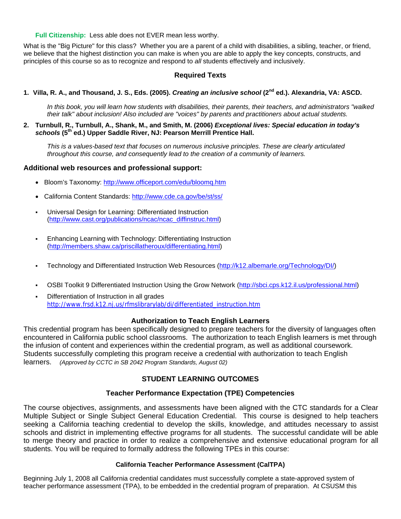**Full Citizenship:** Less able does not EVER mean less worthy.

What is the "Big Picture" for this class? Whether you are a parent of a child with disabilities, a sibling, teacher, or friend, we believe that the highest distinction you can make is when you are able to apply the key concepts, constructs, and principles of this course so as to recognize and respond to *all* students effectively and inclusively.

## **Required Texts**

### **1. Villa, R. A., and Thousand, J. S., Eds. (2005).** *Creating an inclusive school* **(2nd ed.). Alexandria, VA: ASCD.**

*In this book, you will learn how students with disabilities, their parents, their teachers, and administrators "walked their talk" about inclusion! Also included are "voices" by parents and practitioners about actual students.* 

#### **2. Turnbull, R., Turnbull, A., Shank, M., and Smith, M. (2006)** *Exceptional lives: Special education in today's schools* **(5th ed.) Upper Saddle River, NJ: Pearson Merrill Prentice Hall.**

*This is a values-based text that focuses on numerous inclusive principles. These are clearly articulated throughout this course, and consequently lead to the creation of a community of learners.* 

### **Additional web resources and professional support:**

- Bloom's Taxonomy: http://www.officeport.com/edu/bloomq.htm
- California Content Standards: http://www.cde.ca.gov/be/st/ss/
- Universal Design for Learning: Differentiated Instruction (http://www.cast.org/publications/ncac/ncac\_diffinstruc.html)
- Enhancing Learning with Technology: Differentiating Instruction (http://members.shaw.ca/priscillatheroux/differentiating.html)
- Technology and Differentiated Instruction Web Resources (http://k12.albemarle.org/Technology/DI/)
- OSBI Toolkit 9 Differentiated Instruction Using the Grow Network (http://sbci.cps.k12.il.us/professional.html)
- Differentiation of Instruction in all grades http://www.frsd.k12.nj.us/rfmslibrarylab/di/differentiated\_instruction.htm

### **Authorization to Teach English Learners**

This credential program has been specifically designed to prepare teachers for the diversity of languages often encountered in California public school classrooms. The authorization to teach English learners is met through the infusion of content and experiences within the credential program, as well as additional coursework. Students successfully completing this program receive a credential with authorization to teach English learners. *(Approved by CCTC in SB 2042 Program Standards, August 02)* 

## **STUDENT LEARNING OUTCOMES**

### **Teacher Performance Expectation (TPE) Competencies**

The course objectives, assignments, and assessments have been aligned with the CTC standards for a Clear Multiple Subject or Single Subject General Education Credential. This course is designed to help teachers seeking a California teaching credential to develop the skills, knowledge, and attitudes necessary to assist schools and district in implementing effective programs for all students. The successful candidate will be able to merge theory and practice in order to realize a comprehensive and extensive educational program for all students. You will be required to formally address the following TPEs in this course:

### **California Teacher Performance Assessment (CalTPA)**

Beginning July 1, 2008 all California credential candidates must successfully complete a state-approved system of teacher performance assessment (TPA), to be embedded in the credential program of preparation. At CSUSM this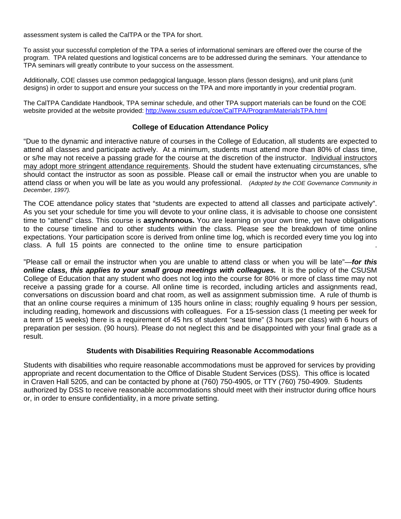assessment system is called the CalTPA or the TPA for short.

To assist your successful completion of the TPA a series of informational seminars are offered over the course of the program. TPA related questions and logistical concerns are to be addressed during the seminars. Your attendance to TPA seminars will greatly contribute to your success on the assessment.

Additionally, COE classes use common pedagogical language, lesson plans (lesson designs), and unit plans (unit designs) in order to support and ensure your success on the TPA and more importantly in your credential program.

website provided at the website provided: http://www.csusm.edu/coe/CalTPA/ProgramMaterialsTPA.html The CalTPA Candidate Handbook, TPA seminar schedule, and other TPA support materials can be found on the COE

### **College of Education Attendance Policy**

 attend class or when you will be late as you would any professional. *(Adopted by the COE Governance Community in*  "Due to the dynamic and interactive nature of courses in the College of Education, all students are expected to attend all classes and participate actively. At a minimum, students must attend more than 80% of class time, or s/he may not receive a passing grade for the course at the discretion of the instructor. Individual instructors may adopt more stringent attendance requirements. Should the student have extenuating circumstances, s/he should contact the instructor as soon as possible. Please call or email the instructor when you are unable to *December, 1997).* 

The COE attendance policy states that "students are expected to attend all classes and participate actively". As you set your schedule for time you will devote to your online class, it is advisable to choose one consistent time to "attend" class. This course is **asynchronous.** You are learning on your own time, yet have obligations to the course timeline and to other students within the class. Please see the breakdown of time online expectations. Your participation score is derived from online time log, which is recorded every time you log into class. A full 15 points are connected to the online time to ensure participation .

online class, this applies to your small group meetings with colleagues. It is the policy of the CSUSM "Please call or email the instructor when you are unable to attend class or when you will be late"—*for this*  College of Education that any student who does not log into the course for 80% or more of class time may not receive a passing grade for a course. All online time is recorded, including articles and assignments read, conversations on discussion board and chat room, as well as assignment submission time. A rule of thumb is that an online course requires a minimum of 135 hours online in class; roughly equaling 9 hours per session, including reading, homework and discussions with colleagues. For a 15-session class (1 meeting per week for a term of 15 weeks) there is a requirement of 45 hrs of student "seat time" (3 hours per class) with 6 hours of preparation per session. (90 hours). Please do not neglect this and be disappointed with your final grade as a result.

### **Students with Disabilities Requiring Reasonable Accommodations**

Students with disabilities who require reasonable accommodations must be approved for services by providing appropriate and recent documentation to the Office of Disable Student Services (DSS). This office is located in Craven Hall 5205, and can be contacted by phone at (760) 750-4905, or TTY (760) 750-4909. Students authorized by DSS to receive reasonable accommodations should meet with their instructor during office hours or, in order to ensure confidentiality, in a more private setting.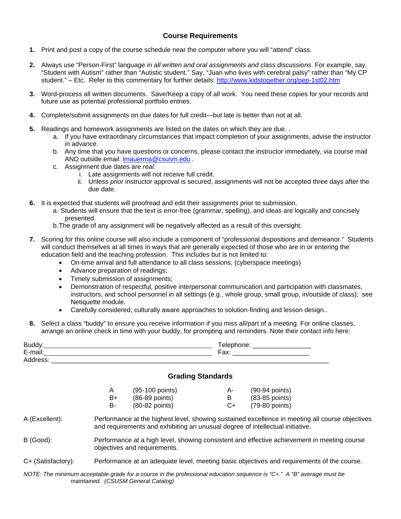## **Course Requirements**

- **1.** Print and post a copy of the course schedule near the computer where you will "attend" class.
- student." Etc. Refer to this commentary for further details: http://www.kidstogether.org/pep-1st02.htm **2.** Always use "Person-First" language in *all written and oral assignments and class discussions*. For example, say, "Student with Autism" rather than "Autistic student." Say, "Juan who lives with cerebral palsy" rather than "My CP
- **3.** Word-process all written documents. Save/Keep a copy of all work. You need these copies for your records and future use as potential professional portfolio entries.
- **4.** Complete/submit assignments on due dates for full credit—but late is better than not at all.
- **5.** Readings and homework assignments are listed on the dates on which they are due. .
	- a. If you have extraordinary circumstances that impact completion of your assignments, advise the instructor in advance.
	- b. Any time that you have questions or concerns, please contact the instructor immediately, via course mail AND outside email: lmauerma@csusm.edu .
	- c. Assignment due dates are *real*.
		- i. Late assignments will not receive full credit.
		- ii. Unless *prior* instructor approval is secured, assignments will not be accepted three days after the due date.
- **6.** It is expected that students will proofread and edit their assignments prior to submission.
	- a.Students will ensure that the text is error-free (grammar, spelling), and ideas are logically and concisely presented.
	- b.The grade of any assignment will be negatively affected as a result of this oversight.
- **7.** Scoring for this online course will also include a component of "professional dispositions and demeanor." Students will conduct themselves at all times in ways that are generally expected of those who are in or entering the education field and the teaching profession. This includes but is not limited to:
	- On-time arrival and full attendance to all class sessions; (cyberspace meetings)
	- Advance preparation of readings;
	- Timely submission of assignments;
	- Demonstration of respectful, positive interpersonal communication and participation with classmates, instructors, and school personnel in all settings (e.g., whole group, small group, in/outside of class); see Netiquette module.
	- Carefully considered, culturally aware approaches to solution-finding and lesson design..
- **8.** Select a class "buddy" to ensure you receive information if you miss all/part of a meeting. For online classes, arrange an online check in time with your buddy, for prompting and reminders. Note their contact info here:

| Buddy:<br>E-mail:<br>Address: |           | Telephone: _____________<br>Fax: F |                          |                                    |
|-------------------------------|-----------|------------------------------------|--------------------------|------------------------------------|
|                               |           |                                    | <b>Grading Standards</b> |                                    |
|                               | A<br>$B+$ | (95-100 points)<br>(86-89 points)  | А-<br>B                  | $(90-94$ points)<br>(83-85 points) |
|                               | В-        | (80-82 points)                     | C+                       | (79-80 points)                     |

- A (Excellent): Performance at the highest level, showing sustained excellence in meeting all course objectives and requirements and exhibiting an unusual degree of intellectual initiative.
- B (Good): Performance at a high level, showing consistent and effective achievement in meeting course objectives and requirements.
- C+ (Satisfactory): Performance at an adequate level, meeting basic objectives and requirements of the course.

*NOTE: The minimum acceptable grade for a course in the professional education sequence is "C+." A "B" average must be maintained. (CSUSM General Catalog)*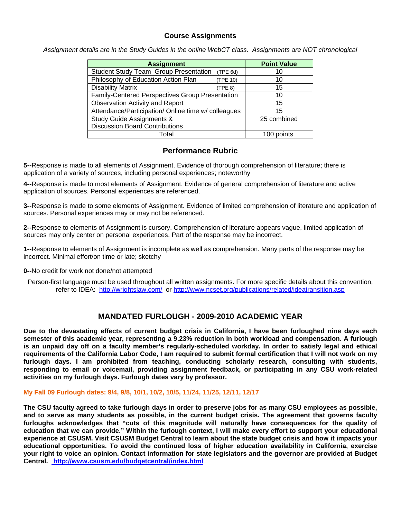## **Course Assignments**

*Assignment details are in the Study Guides in the online WebCT class. Assignments are NOT chronological* 

| <b>Assignment</b>                                   |          | <b>Point Value</b> |
|-----------------------------------------------------|----------|--------------------|
| <b>Student Study Team Group Presentation</b>        | (TPE 6d) | 10                 |
| Philosophy of Education Action Plan                 | (TPE 10) | 10                 |
| <b>Disability Matrix</b>                            | (TPE 8)  | 15                 |
| Family-Centered Perspectives Group Presentation     |          | 10                 |
| <b>Observation Activity and Report</b>              |          | 15                 |
| Attendance/Participation/ Online time w/ colleagues | 15       |                    |
| <b>Study Guide Assignments &amp;</b>                |          | 25 combined        |
| <b>Discussion Board Contributions</b>               |          |                    |
| Total                                               |          | 100 points         |

## **Performance Rubric**

**5--**Response is made to all elements of Assignment. Evidence of thorough comprehension of literature; there is application of a variety of sources, including personal experiences; noteworthy

**4--**Response is made to most elements of Assignment. Evidence of general comprehension of literature and active application of sources. Personal experiences are referenced.

**3--**Response is made to some elements of Assignment. Evidence of limited comprehension of literature and application of sources. Personal experiences may or may not be referenced.

**2--**Response to elements of Assignment is cursory. Comprehension of literature appears vague, limited application of sources may only center on personal experiences. Part of the response may be incorrect.

**1--**Response to elements of Assignment is incomplete as well as comprehension. Many parts of the response may be incorrect. Minimal effort/on time or late; sketchy

**0--**No credit for work not done/not attempted

refer to IDEA: http://wrightslaw.com/ or http://www.ncset.org/publications/related/ideatransition.asp Person-first language must be used throughout all written assignments. For more specific details about this convention,

# **MANDATED FURLOUGH - 2009-2010 ACADEMIC YEAR**

**Due to the devastating effects of current budget crisis in California, I have been furloughed nine days each semester of this academic year, representing a 9.23% reduction in both workload and compensation. A furlough is an unpaid day off on a faculty member's regularly-scheduled workday. In order to satisfy legal and ethical requirements of the California Labor Code, I am required to submit formal certification that I will not work on my furlough days. I am prohibited from teaching, conducting scholarly research, consulting with students, responding to email or voicemail, providing assignment feedback, or participating in any CSU work-related activities on my furlough days. Furlough dates vary by professor.** 

### **My Fall 09 Furlough dates: 9/4, 9/8, 10/1, 10/2, 10/5, 11/24, 11/25, 12/11, 12/17**

 **Central. http://www.csusm.edu/budgetcentral/index.html The CSU faculty agreed to take furlough days in order to preserve jobs for as many CSU employees as possible, and to serve as many students as possible, in the current budget crisis. The agreement that governs faculty furloughs acknowledges that "cuts of this magnitude will naturally have consequences for the quality of education that we can provide." Within the furlough context, I will make every effort to support your educational experience at CSUSM. Visit CSUSM Budget Central to learn about the state budget crisis and how it impacts your educational opportunities. To avoid the continued loss of higher education availability in California, exercise your right to voice an opinion. Contact information for state legislators and the governor are provided at Budget**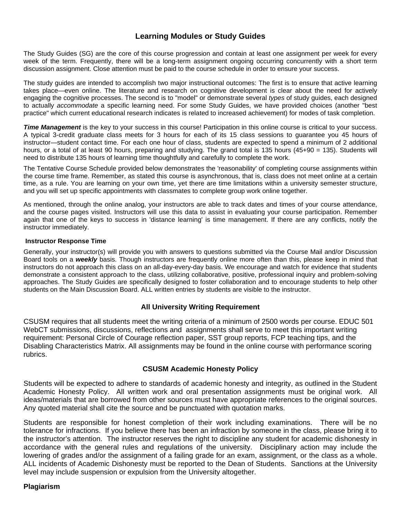# **Learning Modules or Study Guides**

The Study Guides (SG) are the core of this course progression and contain at least one assignment per week for every week of the term. Frequently, there will be a long-term assignment ongoing occurring concurrently with a short term discussion assignment. Close attention must be paid to the course schedule in order to ensure your success.

The study guides are intended to accomplish two major instructional outcomes: The first is to ensure that active learning takes place—even online. The literature and research on cognitive development is clear about the need for actively engaging the cognitive processes. The second is to "model" or demonstrate several *types* of study guides, each designed to actually *accommodate* a specific learning need. For some Study Guides, we have provided choices (another "best practice" which current educational research indicates is related to increased achievement) for modes of task completion.

*Time Management* is the key to your success in this course! Participation in this online course is critical to your success. A typical 3-credit graduate class meets for 3 hours for each of its 15 class sessions to guarantee you 45 hours of instructor—student contact time. For each one hour of class, students are expected to spend a minimum of 2 additional hours, or a total of at least 90 hours, preparing and studying. The grand total is 135 hours (45+90 = 135). Students will need to distribute 135 hours of learning time thoughtfully and carefully to complete the work.

The Tentative Course Schedule provided below demonstrates the 'reasonability' of completing course assignments within the course time frame. Remember, as stated this course is asynchronous, that is, class does not meet online at a certain time, as a rule. You are learning on your own time, yet there are time limitations within a university semester structure, and you will set up specific appointments with classmates to complete group work online together.

As mentioned, through the online analog, your instructors are able to track dates and times of your course attendance, and the course pages visited. Instructors will use this data to assist in evaluating your course participation. Remember again that one of the keys to success in 'distance learning' is time management. If there are any conflicts, notify the instructor immediately.

#### **Instructor Response Time**

Generally, your instructor(s) will provide you with answers to questions submitted via the Course Mail and/or Discussion Board tools on a *weekly* basis. Though instructors are frequently online more often than this, please keep in mind that instructors do not approach this class on an all-day-every-day basis. We encourage and watch for evidence that students demonstrate a consistent approach to the class, utilizing collaborative, positive, professional inquiry and problem-solving approaches. The Study Guides are specifically designed to foster collaboration and to encourage students to help other students on the Main Discussion Board. ALL written entries by students are visible to the instructor.

### **All University Writing Requirement**

CSUSM requires that all students meet the writing criteria of a minimum of 2500 words per course. EDUC 501 WebCT submissions, discussions, reflections and assignments shall serve to meet this important writing requirement: Personal Circle of Courage reflection paper, SST group reports, FCP teaching tips, and the Disabling Characteristics Matrix. All assignments may be found in the online course with performance scoring rubrics.

### **CSUSM Academic Honesty Policy**

Students will be expected to adhere to standards of academic honesty and integrity, as outlined in the Student Academic Honesty Policy. All written work and oral presentation assignments must be original work. All ideas/materials that are borrowed from other sources must have appropriate references to the original sources. Any quoted material shall cite the source and be punctuated with quotation marks.

Students are responsible for honest completion of their work including examinations. There will be no tolerance for infractions. If you believe there has been an infraction by someone in the class, please bring it to the instructor's attention. The instructor reserves the right to discipline any student for academic dishonesty in accordance with the general rules and regulations of the university. Disciplinary action may include the lowering of grades and/or the assignment of a failing grade for an exam, assignment, or the class as a whole. ALL incidents of Academic Dishonesty must be reported to the Dean of Students. Sanctions at the University level may include suspension or expulsion from the University altogether.

### **Plagiarism**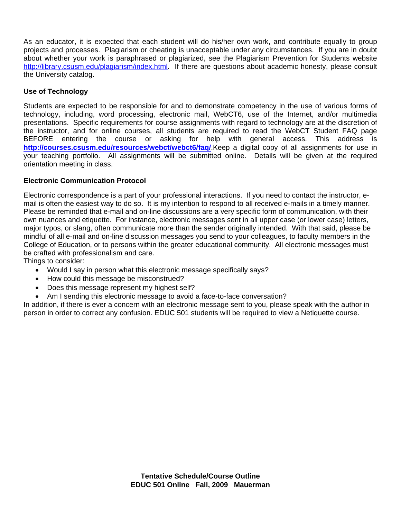As an educator, it is expected that each student will do his/her own work, and contribute equally to group projects and processes. Plagiarism or cheating is unacceptable under any circumstances. If you are in doubt about whether your work is paraphrased or plagiarized, see the Plagiarism Prevention for Students website http://library.csusm.edu/plagiarism/index.html. If there are questions about academic honesty, please consult the University catalog.

# **Use of Technology**

Students are expected to be responsible for and to demonstrate competency in the use of various forms of technology, including, word processing, electronic mail, WebCT6, use of the Internet, and/or multimedia presentations. Specific requirements for course assignments with regard to technology are at the discretion of the instructor, and for online courses, all students are required to read the WebCT Student FAQ page BEFORE entering the course or asking for help with general access. This address is **http://courses.csusm.edu/resources/webct/webct6/faq/**.Keep a digital copy of all assignments for use in your teaching portfolio. All assignments will be submitted online. Details will be given at the required orientation meeting in class.

## **Electronic Communication Protocol**

Electronic correspondence is a part of your professional interactions. If you need to contact the instructor, email is often the easiest way to do so. It is my intention to respond to all received e-mails in a timely manner. Please be reminded that e-mail and on-line discussions are a very specific form of communication, with their own nuances and etiquette. For instance, electronic messages sent in all upper case (or lower case) letters, major typos, or slang, often communicate more than the sender originally intended. With that said, please be mindful of all e-mail and on-line discussion messages you send to your colleagues, to faculty members in the College of Education, or to persons within the greater educational community. All electronic messages must be crafted with professionalism and care.

Things to consider:

- Would I say in person what this electronic message specifically says?
- How could this message be misconstrued?
- Does this message represent my highest self?
- Am I sending this electronic message to avoid a face-to-face conversation?

In addition, if there is ever a concern with an electronic message sent to you, please speak with the author in person in order to correct any confusion. EDUC 501 students will be required to view a Netiquette course.